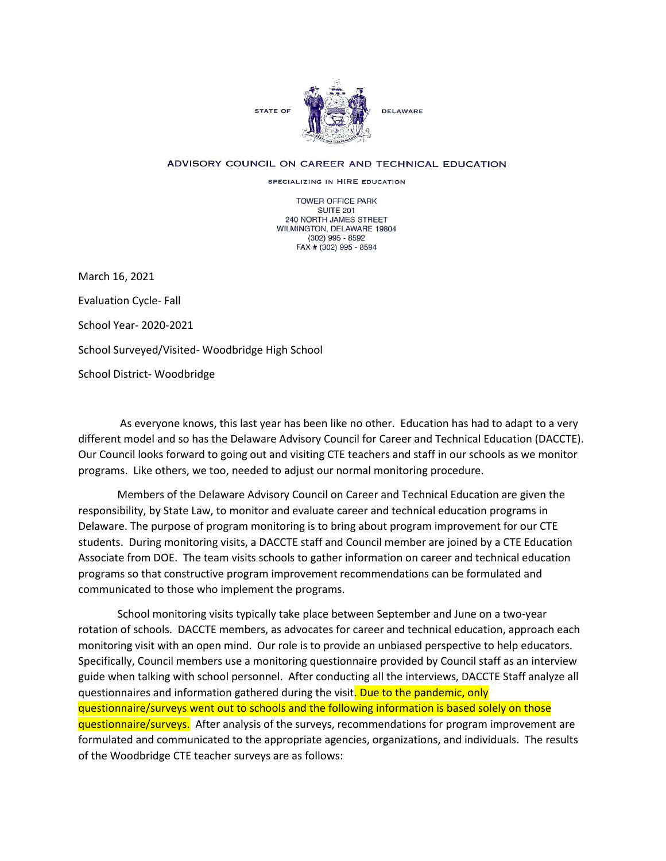

## ADVISORY COUNCIL ON CAREER AND TECHNICAL EDUCATION

SPECIALIZING IN HIRE EDUCATION

**TOWER OFFICE PARK SUITE 201** 240 NORTH JAMES STREET WILMINGTON, DELAWARE 19804  $(302)$  995 - 8592 FAX # (302) 995 - 8594

March 16, 2021

Evaluation Cycle- Fall

School Year- 2020-2021

School Surveyed/Visited- Woodbridge High School

School District- Woodbridge

As everyone knows, this last year has been like no other. Education has had to adapt to a very different model and so has the Delaware Advisory Council for Career and Technical Education (DACCTE). Our Council looks forward to going out and visiting CTE teachers and staff in our schools as we monitor programs. Like others, we too, needed to adjust our normal monitoring procedure.

Members of the Delaware Advisory Council on Career and Technical Education are given the responsibility, by State Law, to monitor and evaluate career and technical education programs in Delaware. The purpose of program monitoring is to bring about program improvement for our CTE students. During monitoring visits, a DACCTE staff and Council member are joined by a CTE Education Associate from DOE. The team visits schools to gather information on career and technical education programs so that constructive program improvement recommendations can be formulated and communicated to those who implement the programs.

School monitoring visits typically take place between September and June on a two-year rotation of schools. DACCTE members, as advocates for career and technical education, approach each monitoring visit with an open mind. Our role is to provide an unbiased perspective to help educators. Specifically, Council members use a monitoring questionnaire provided by Council staff as an interview guide when talking with school personnel. After conducting all the interviews, DACCTE Staff analyze all questionnaires and information gathered during the visit. Due to the pandemic, only questionnaire/surveys went out to schools and the following information is based solely on those questionnaire/surveys. After analysis of the surveys, recommendations for program improvement are formulated and communicated to the appropriate agencies, organizations, and individuals. The results of the Woodbridge CTE teacher surveys are as follows: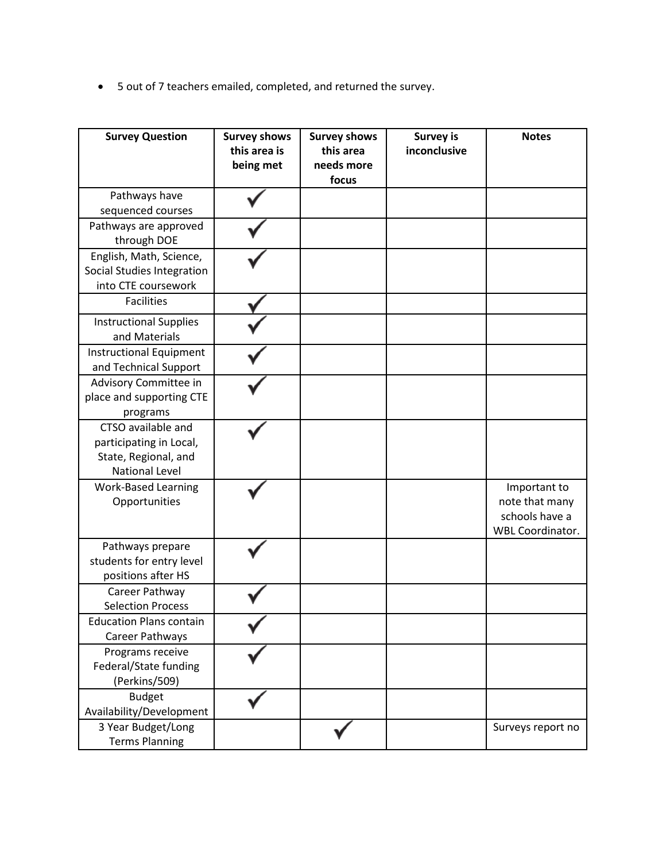• 5 out of 7 teachers emailed, completed, and returned the survey.

| <b>Survey Question</b>                                                                         | <b>Survey shows</b><br>this area is<br>being met | <b>Survey shows</b><br>this area<br>needs more<br>focus | <b>Survey is</b><br>inconclusive | <b>Notes</b>                                                                |
|------------------------------------------------------------------------------------------------|--------------------------------------------------|---------------------------------------------------------|----------------------------------|-----------------------------------------------------------------------------|
| Pathways have<br>sequenced courses                                                             |                                                  |                                                         |                                  |                                                                             |
| Pathways are approved<br>through DOE                                                           |                                                  |                                                         |                                  |                                                                             |
| English, Math, Science,<br>Social Studies Integration<br>into CTE coursework                   |                                                  |                                                         |                                  |                                                                             |
| <b>Facilities</b>                                                                              |                                                  |                                                         |                                  |                                                                             |
| <b>Instructional Supplies</b><br>and Materials                                                 |                                                  |                                                         |                                  |                                                                             |
| Instructional Equipment<br>and Technical Support                                               |                                                  |                                                         |                                  |                                                                             |
| Advisory Committee in<br>place and supporting CTE<br>programs                                  |                                                  |                                                         |                                  |                                                                             |
| CTSO available and<br>participating in Local,<br>State, Regional, and<br><b>National Level</b> |                                                  |                                                         |                                  |                                                                             |
| <b>Work-Based Learning</b><br>Opportunities                                                    |                                                  |                                                         |                                  | Important to<br>note that many<br>schools have a<br><b>WBL Coordinator.</b> |
| Pathways prepare<br>students for entry level<br>positions after HS                             |                                                  |                                                         |                                  |                                                                             |
| Career Pathway<br><b>Selection Process</b>                                                     |                                                  |                                                         |                                  |                                                                             |
| <b>Education Plans contain</b><br>Career Pathways                                              |                                                  |                                                         |                                  |                                                                             |
| Programs receive<br>Federal/State funding<br>(Perkins/509)                                     |                                                  |                                                         |                                  |                                                                             |
| <b>Budget</b><br>Availability/Development                                                      |                                                  |                                                         |                                  |                                                                             |
| 3 Year Budget/Long<br><b>Terms Planning</b>                                                    |                                                  |                                                         |                                  | Surveys report no                                                           |